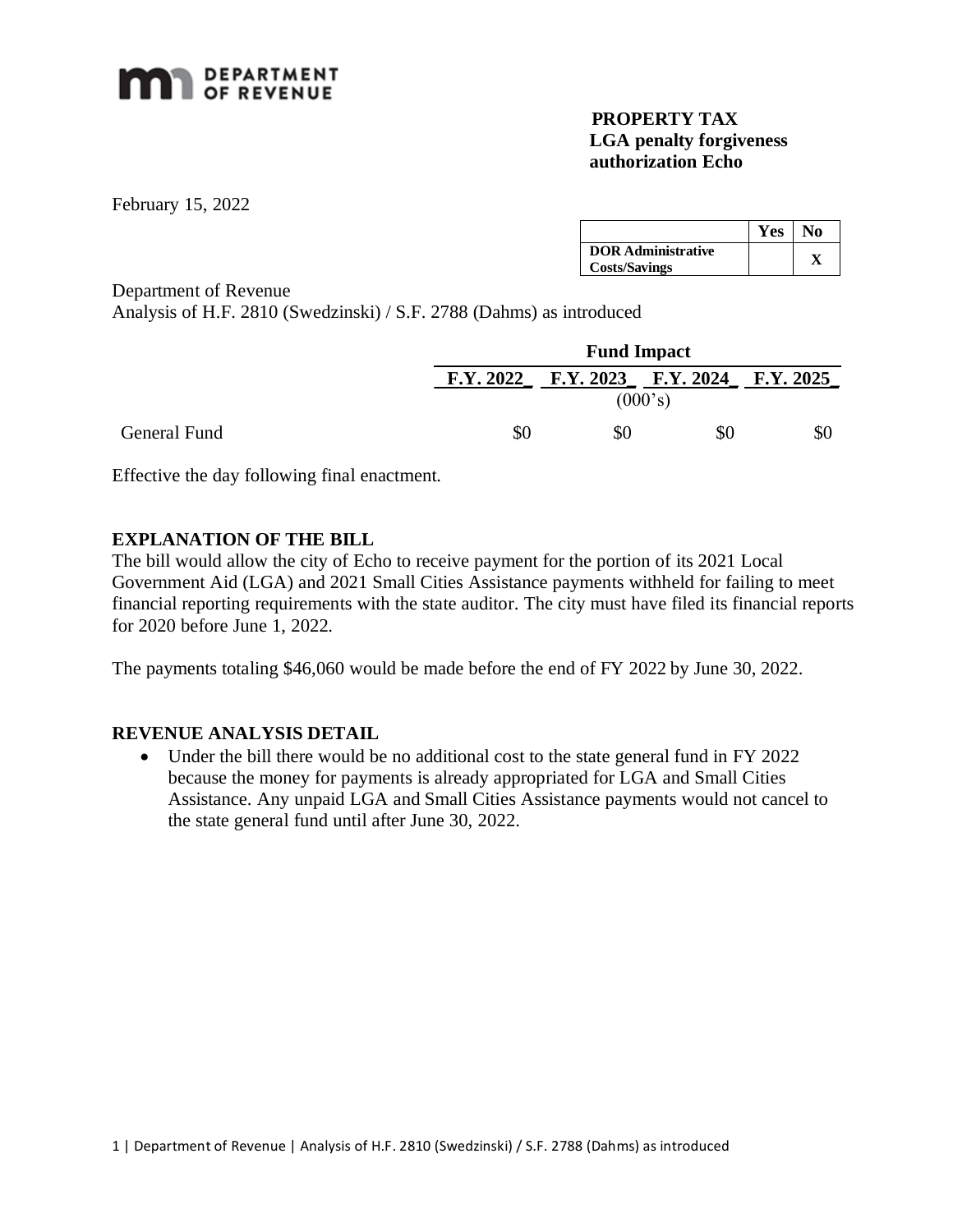

## **PROPERTY TAX LGA penalty forgiveness authorization Echo**

February 15, 2022

General Fund

|                                                   | Yes | No |
|---------------------------------------------------|-----|----|
| <b>DOR Administrative</b><br><b>Costs/Savings</b> |     |    |

Department of Revenue

Analysis of H.F. 2810 (Swedzinski) / S.F. 2788 (Dahms) as introduced

|         | <b>Fund Impact</b> |    |                                         |  |  |  |
|---------|--------------------|----|-----------------------------------------|--|--|--|
|         |                    |    | F.Y. 2022 F.Y. 2023 F.Y. 2024 F.Y. 2025 |  |  |  |
| (000's) |                    |    |                                         |  |  |  |
|         | \$0                | 80 | \$0                                     |  |  |  |

Effective the day following final enactment.

## **EXPLANATION OF THE BILL**

The bill would allow the city of Echo to receive payment for the portion of its 2021 Local Government Aid (LGA) and 2021 Small Cities Assistance payments withheld for failing to meet financial reporting requirements with the state auditor. The city must have filed its financial reports for 2020 before June 1, 2022.

The payments totaling \$46,060 would be made before the end of FY 2022 by June 30, 2022.

## **REVENUE ANALYSIS DETAIL**

• Under the bill there would be no additional cost to the state general fund in FY 2022 because the money for payments is already appropriated for LGA and Small Cities Assistance. Any unpaid LGA and Small Cities Assistance payments would not cancel to the state general fund until after June 30, 2022.